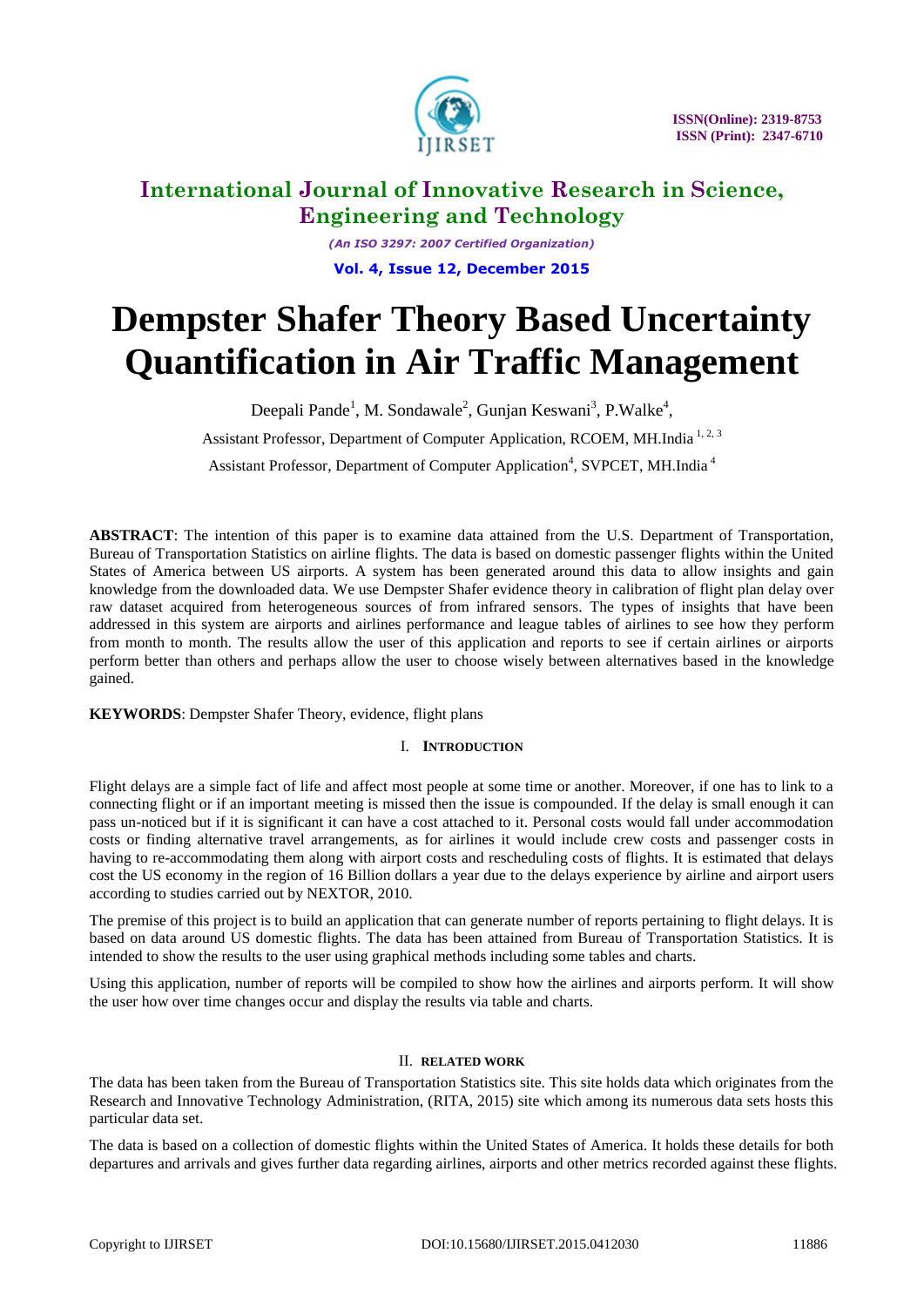

*(An ISO 3297: 2007 Certified Organization)* **Vol. 4, Issue 12, December 2015**

# **Dempster Shafer Theory Based Uncertainty Quantification in Air Traffic Management**

Deepali Pande<sup>1</sup>, M. Sondawale<sup>2</sup>, Gunjan Keswani<sup>3</sup>, P.Walke<sup>4</sup>, Assistant Professor, Department of Computer Application, RCOEM, MH.India<sup>1,2,3</sup> Assistant Professor, Department of Computer Application<sup>4</sup>, SVPCET, MH.India<sup>4</sup>

**ABSTRACT**: The intention of this paper is to examine data attained from the U.S. Department of Transportation, Bureau of Transportation Statistics on airline flights. The data is based on domestic passenger flights within the United States of America between US airports. A system has been generated around this data to allow insights and gain knowledge from the downloaded data. We use Dempster Shafer evidence theory in calibration of flight plan delay over raw dataset acquired from heterogeneous sources of from infrared sensors. The types of insights that have been addressed in this system are airports and airlines performance and league tables of airlines to see how they perform from month to month. The results allow the user of this application and reports to see if certain airlines or airports perform better than others and perhaps allow the user to choose wisely between alternatives based in the knowledge gained.

**KEYWORDS**: Dempster Shafer Theory, evidence, flight plans

### I. **INTRODUCTION**

Flight delays are a simple fact of life and affect most people at some time or another. Moreover, if one has to link to a connecting flight or if an important meeting is missed then the issue is compounded. If the delay is small enough it can pass un-noticed but if it is significant it can have a cost attached to it. Personal costs would fall under accommodation costs or finding alternative travel arrangements, as for airlines it would include crew costs and passenger costs in having to re-accommodating them along with airport costs and rescheduling costs of flights. It is estimated that delays cost the US economy in the region of 16 Billion dollars a year due to the delays experience by airline and airport users according to studies carried out by NEXTOR, 2010.

The premise of this project is to build an application that can generate number of reports pertaining to flight delays. It is based on data around US domestic flights. The data has been attained from Bureau of Transportation Statistics. It is intended to show the results to the user using graphical methods including some tables and charts.

Using this application, number of reports will be compiled to show how the airlines and airports perform. It will show the user how over time changes occur and display the results via table and charts.

### II. **RELATED WORK**

The data has been taken from the Bureau of Transportation Statistics site. This site holds data which originates from the Research and Innovative Technology Administration, (RITA, 2015) site which among its numerous data sets hosts this particular data set.

The data is based on a collection of domestic flights within the United States of America. It holds these details for both departures and arrivals and gives further data regarding airlines, airports and other metrics recorded against these flights.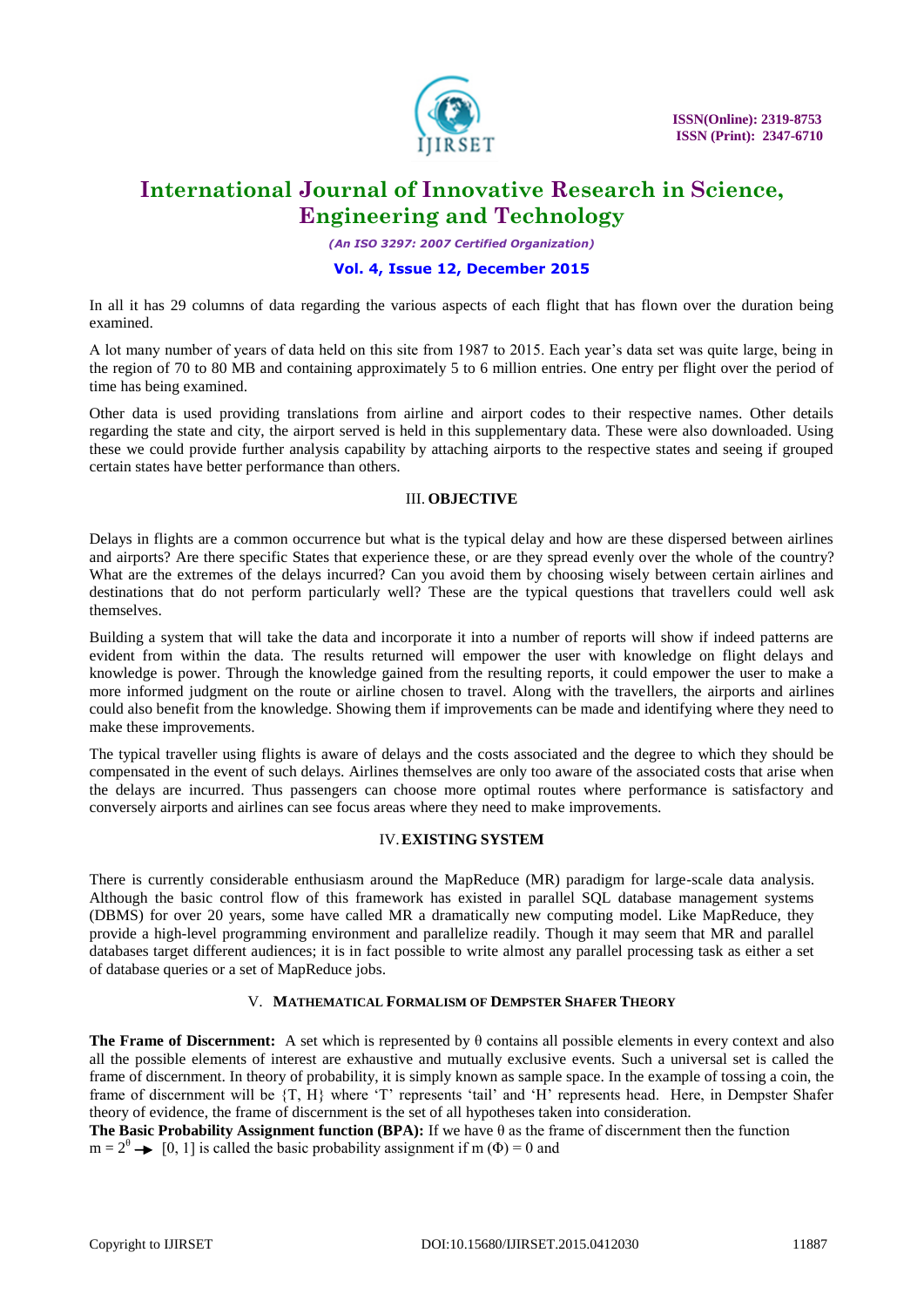

*(An ISO 3297: 2007 Certified Organization)*

### **Vol. 4, Issue 12, December 2015**

In all it has 29 columns of data regarding the various aspects of each flight that has flown over the duration being examined.

A lot many number of years of data held on this site from 1987 to 2015. Each year"s data set was quite large, being in the region of 70 to 80 MB and containing approximately 5 to 6 million entries. One entry per flight over the period of time has being examined.

Other data is used providing translations from airline and airport codes to their respective names. Other details regarding the state and city, the airport served is held in this supplementary data. These were also downloaded. Using these we could provide further analysis capability by attaching airports to the respective states and seeing if grouped certain states have better performance than others.

#### III. **OBJECTIVE**

Delays in flights are a common occurrence but what is the typical delay and how are these dispersed between airlines and airports? Are there specific States that experience these, or are they spread evenly over the whole of the country? What are the extremes of the delays incurred? Can you avoid them by choosing wisely between certain airlines and destinations that do not perform particularly well? These are the typical questions that travellers could well ask themselves.

Building a system that will take the data and incorporate it into a number of reports will show if indeed patterns are evident from within the data. The results returned will empower the user with knowledge on flight delays and knowledge is power. Through the knowledge gained from the resulting reports, it could empower the user to make a more informed judgment on the route or airline chosen to travel. Along with the travellers, the airports and airlines could also benefit from the knowledge. Showing them if improvements can be made and identifying where they need to make these improvements.

The typical traveller using flights is aware of delays and the costs associated and the degree to which they should be compensated in the event of such delays. Airlines themselves are only too aware of the associated costs that arise when the delays are incurred. Thus passengers can choose more optimal routes where performance is satisfactory and conversely airports and airlines can see focus areas where they need to make improvements.

### IV.**EXISTING SYSTEM**

There is currently considerable enthusiasm around the MapReduce (MR) paradigm for large-scale data analysis. Although the basic control flow of this framework has existed in parallel SQL database management systems (DBMS) for over 20 years, some have called MR a dramatically new computing model. Like MapReduce, they provide a high-level programming environment and parallelize readily. Though it may seem that MR and parallel databases target different audiences; it is in fact possible to write almost any parallel processing task as either a set of database queries or a set of MapReduce jobs.

### V. **MATHEMATICAL FORMALISM OF DEMPSTER SHAFER THEORY**

**The Frame of Discernment:** A set which is represented by θ contains all possible elements in every context and also all the possible elements of interest are exhaustive and mutually exclusive events. Such a universal set is called the frame of discernment. In theory of probability, it is simply known as sample space. In the example of tossing a coin, the frame of discernment will be  $\{T, H\}$  where 'T' represents 'tail' and 'H' represents head. Here, in Dempster Shafer theory of evidence, the frame of discernment is the set of all hypotheses taken into consideration.

**The Basic Probability Assignment function (BPA):** If we have θ as the frame of discernment then the function  $m = 2^{\theta} \rightarrow [0, 1]$  is called the basic probability assignment if m ( $\Phi$ ) = 0 and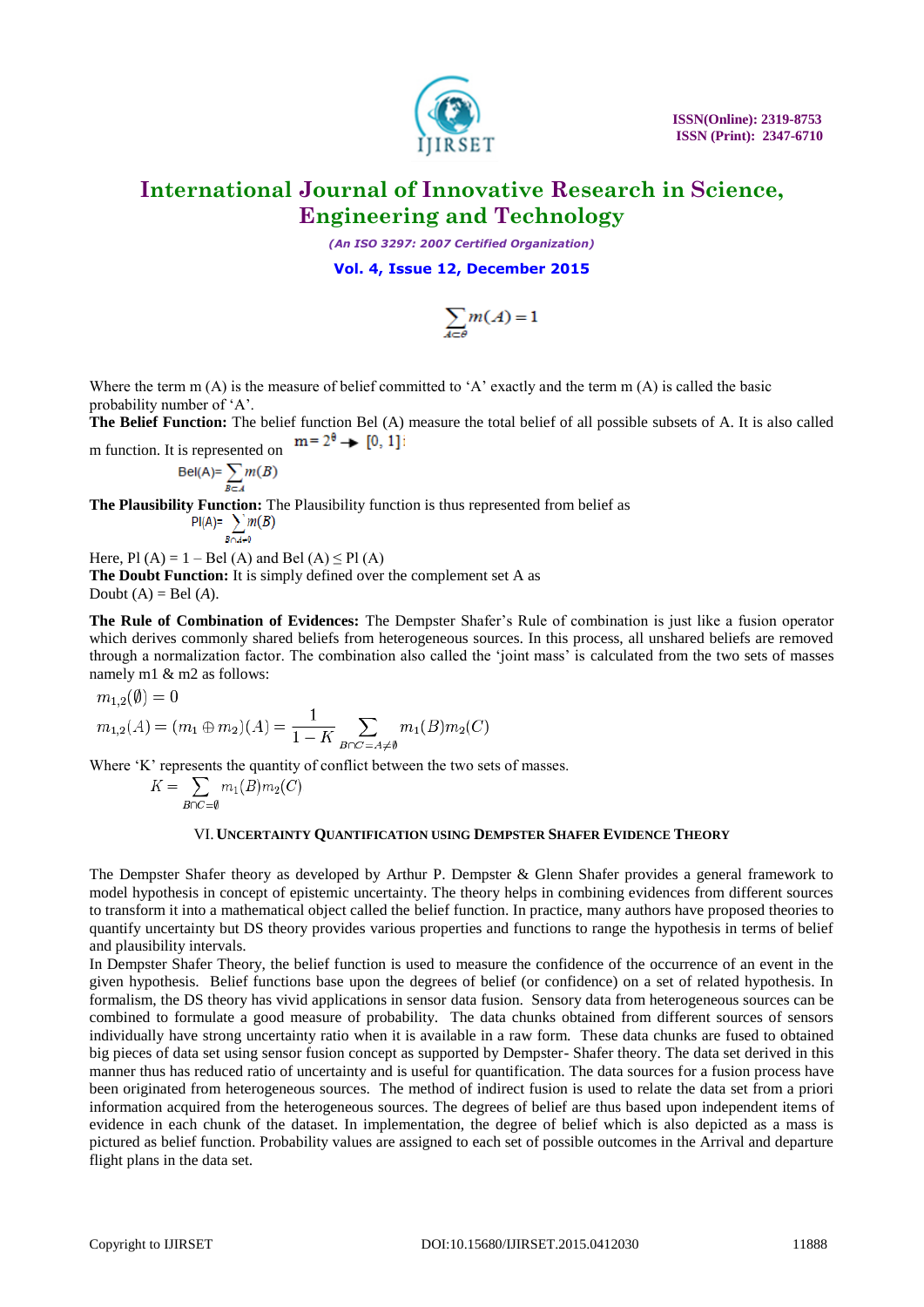

 **ISSN(Online): 2319-8753 ISSN (Print): 2347-6710**

# **International Journal of Innovative Research in Science, Engineering and Technology**

*(An ISO 3297: 2007 Certified Organization)*

**Vol. 4, Issue 12, December 2015**

$$
\sum_{A\subset\theta}m(A)=1
$$

Where the term  $m(A)$  is the measure of belief committed to 'A' exactly and the term  $m(A)$  is called the basic probability number of 'A'.

**The Belief Function:** The belief function Bel (A) measure the total belief of all possible subsets of A. It is also called m function. It is represented on  $m = 2^{\theta} \rightarrow [0, 1]$ 

$$
Bel(A) = \sum_{B \subset A} m(B)
$$

**The Plausibility Function:** The Plausibility function is thus represented from belief as

$$
\text{PI}(A) = \sum_{B \cap A \neq 0} m(B)
$$

Here, Pl  $(A) = 1 - Bel(A)$  and Bel  $(A) \leq Pl(A)$ **The Doubt Function:** It is simply defined over the complement set A as Doubt  $(A)$  = Bel  $(A)$ .

**The Rule of Combination of Evidences:** The Dempster Shafer's Rule of combination is just like a fusion operator which derives commonly shared beliefs from heterogeneous sources. In this process, all unshared beliefs are removed through a normalization factor. The combination also called the 'joint mass' is calculated from the two sets of masses namely m1 & m2 as follows:

$$
m_{1,2}(\emptyset)=0
$$

$$
m_{1,2}(A) = (m_1 \oplus m_2)(A) = \frac{1}{1 - K} \sum_{B \cap C = A \neq \emptyset} m_1(B) m_2(C)
$$

Where 'K' represents the quantity of conflict between the two sets of masses.

$$
K = \sum_{B \cap C = \emptyset} m_1(B) m_2(C).
$$

#### VI.**UNCERTAINTY QUANTIFICATION USING DEMPSTER SHAFER EVIDENCE THEORY**

The Dempster Shafer theory as developed by Arthur P. Dempster & Glenn Shafer provides a general framework to model hypothesis in concept of epistemic uncertainty. The theory helps in combining evidences from different sources to transform it into a mathematical object called the belief function. In practice, many authors have proposed theories to quantify uncertainty but DS theory provides various properties and functions to range the hypothesis in terms of belief and plausibility intervals.

In Dempster Shafer Theory, the belief function is used to measure the confidence of the occurrence of an event in the given hypothesis. Belief functions base upon the degrees of belief (or confidence) on a set of related hypothesis. In formalism, the DS theory has vivid applications in sensor data fusion. Sensory data from heterogeneous sources can be combined to formulate a good measure of probability. The data chunks obtained from different sources of sensors individually have strong uncertainty ratio when it is available in a raw form. These data chunks are fused to obtained big pieces of data set using sensor fusion concept as supported by Dempster- Shafer theory. The data set derived in this manner thus has reduced ratio of uncertainty and is useful for quantification. The data sources for a fusion process have been originated from heterogeneous sources. The method of indirect fusion is used to relate the data set from a priori information acquired from the heterogeneous sources. The degrees of belief are thus based upon independent items of evidence in each chunk of the dataset. In implementation, the degree of belief which is also depicted as a mass is pictured as belief function. Probability values are assigned to each set of possible outcomes in the Arrival and departure flight plans in the data set.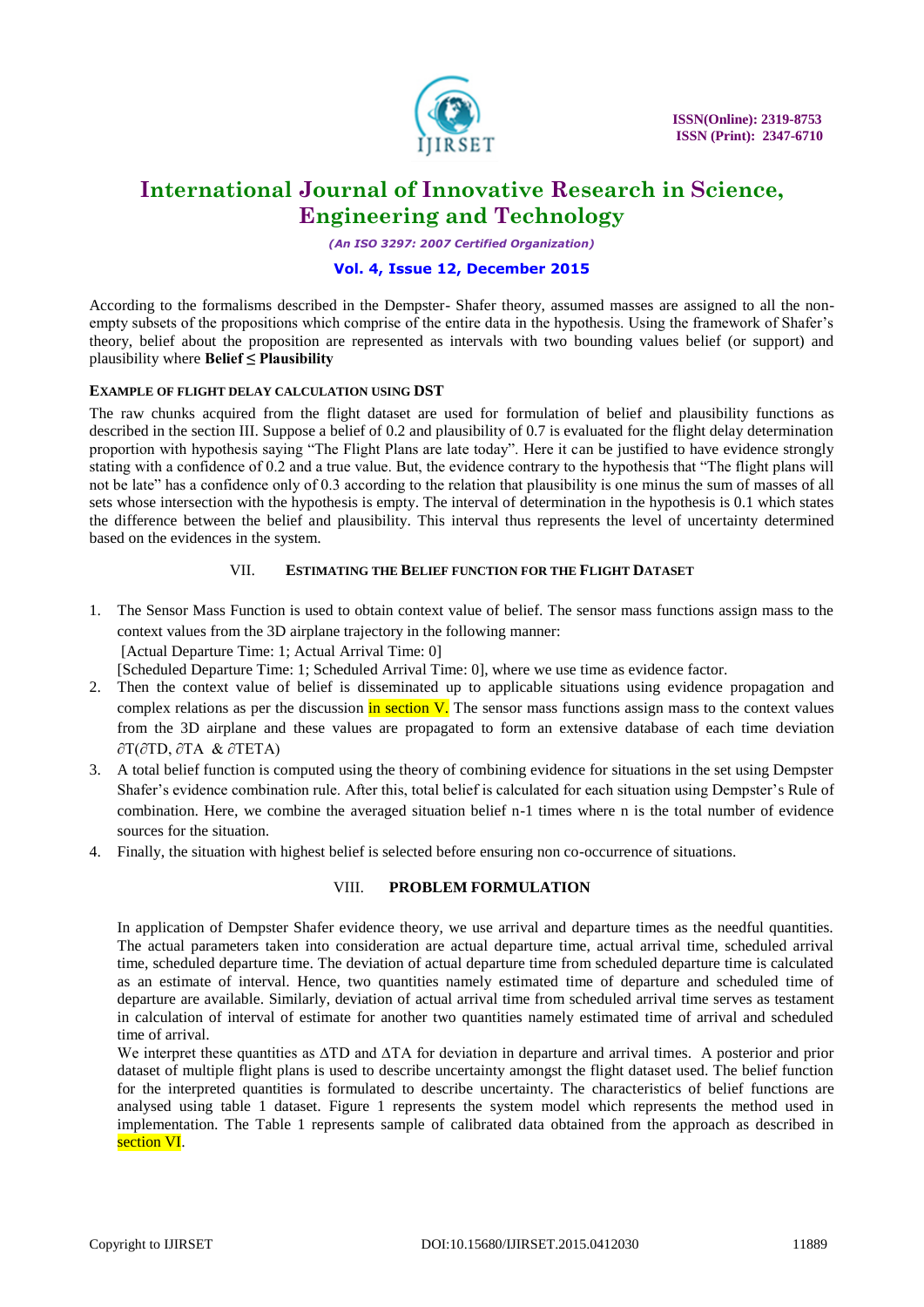

*(An ISO 3297: 2007 Certified Organization)*

### **Vol. 4, Issue 12, December 2015**

According to the formalisms described in the Dempster- Shafer theory, assumed masses are assigned to all the nonempty subsets of the propositions which comprise of the entire data in the hypothesis. Using the framework of Shafer's theory, belief about the proposition are represented as intervals with two bounding values belief (or support) and plausibility where **Belief ≤ Plausibility**

### **EXAMPLE OF FLIGHT DELAY CALCULATION USING DST**

The raw chunks acquired from the flight dataset are used for formulation of belief and plausibility functions as described in the section III. Suppose a belief of 0.2 and plausibility of 0.7 is evaluated for the flight delay determination proportion with hypothesis saying "The Flight Plans are late today". Here it can be justified to have evidence strongly stating with a confidence of 0.2 and a true value. But, the evidence contrary to the hypothesis that "The flight plans will not be late" has a confidence only of 0.3 according to the relation that plausibility is one minus the sum of masses of all sets whose intersection with the hypothesis is empty. The interval of determination in the hypothesis is 0.1 which states the difference between the belief and plausibility. This interval thus represents the level of uncertainty determined based on the evidences in the system.

### VII. **ESTIMATING THE BELIEF FUNCTION FOR THE FLIGHT DATASET**

1. The Sensor Mass Function is used to obtain context value of belief. The sensor mass functions assign mass to the context values from the 3D airplane trajectory in the following manner: [Actual Departure Time: 1; Actual Arrival Time: 0]

[Scheduled Departure Time: 1; Scheduled Arrival Time: 0], where we use time as evidence factor.

- 2. Then the context value of belief is disseminated up to applicable situations using evidence propagation and complex relations as per the discussion in section  $V$ . The sensor mass functions assign mass to the context values from the 3D airplane and these values are propagated to form an extensive database of each time deviation ∂T(∂TD, ∂TA & ∂TETA)
- 3. A total belief function is computed using the theory of combining evidence for situations in the set using Dempster Shafer"s evidence combination rule. After this, total belief is calculated for each situation using Dempster"s Rule of combination. Here, we combine the averaged situation belief n-1 times where n is the total number of evidence sources for the situation.
- 4. Finally, the situation with highest belief is selected before ensuring non co-occurrence of situations.

### VIII. **PROBLEM FORMULATION**

In application of Dempster Shafer evidence theory, we use arrival and departure times as the needful quantities. The actual parameters taken into consideration are actual departure time, actual arrival time, scheduled arrival time, scheduled departure time. The deviation of actual departure time from scheduled departure time is calculated as an estimate of interval. Hence, two quantities namely estimated time of departure and scheduled time of departure are available. Similarly, deviation of actual arrival time from scheduled arrival time serves as testament in calculation of interval of estimate for another two quantities namely estimated time of arrival and scheduled time of arrival.

We interpret these quantities as  $\Delta TD$  and  $\Delta TA$  for deviation in departure and arrival times. A posterior and prior dataset of multiple flight plans is used to describe uncertainty amongst the flight dataset used. The belief function for the interpreted quantities is formulated to describe uncertainty. The characteristics of belief functions are analysed using table 1 dataset. Figure 1 represents the system model which represents the method used in implementation. The Table 1 represents sample of calibrated data obtained from the approach as described in section VI.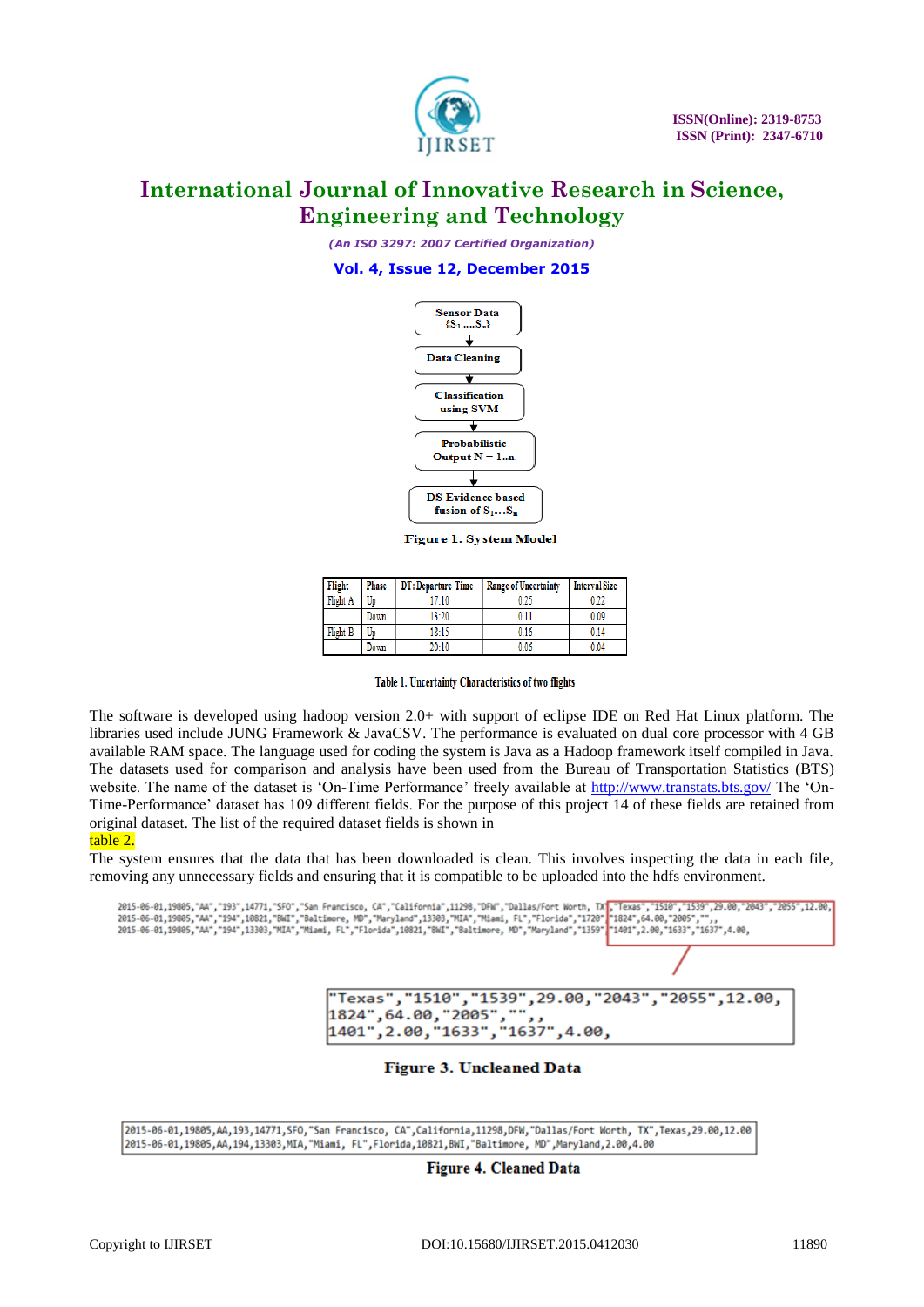

*(An ISO 3297: 2007 Certified Organization)*

**Vol. 4, Issue 12, December 2015**



**Figure 1. System Model** 

| Flight   | <b>Phase</b> | DT: Departure Time | <b>Range of Uncertainty</b> | <b>Interval Size</b> |
|----------|--------------|--------------------|-----------------------------|----------------------|
| Flight A | Up           | 17:10              | 0 25                        | าวา                  |
|          | Down         | 13:20              | 0.11                        | 0.09                 |
| Flight B | Up           | 18:15              | 0.16                        | 0.14                 |
|          | Down         | 20:10              | 0.06                        | 0.04                 |

Table 1. Uncertainty Characteristics of two flights

The software is developed using hadoop version 2.0+ with support of eclipse IDE on Red Hat Linux platform. The libraries used include JUNG Framework & JavaCSV. The performance is evaluated on dual core processor with 4 GB available RAM space. The language used for coding the system is Java as a Hadoop framework itself compiled in Java. The datasets used for comparison and analysis have been used from the Bureau of Transportation Statistics (BTS) website. The name of the dataset is 'On-Time Performance' freely available at<http://www.transtats.bts.gov/> The 'On-Time-Performance" dataset has 109 different fields. For the purpose of this project 14 of these fields are retained from original dataset. The list of the required dataset fields is shown in

#### table 2.

The system ensures that the data that has been downloaded is clean. This involves inspecting the data in each file, removing any unnecessary fields and ensuring that it is compatible to be uploaded into the hdfs environment.



### **Figure 3. Uncleaned Data**

2015-06-01,19805,AA,193,14771,SFO,"San Francisco, CA",California,11298,DFW,"Dallas/Fort Worth, TX",Texas,29.00,12.00 2015-06-01,19805, AA, 194, 13303, MIA, "Miami, FL", Florida, 10821, BWI, "Baltimore, MD", Maryland, 2.00, 4.00

**Figure 4. Cleaned Data**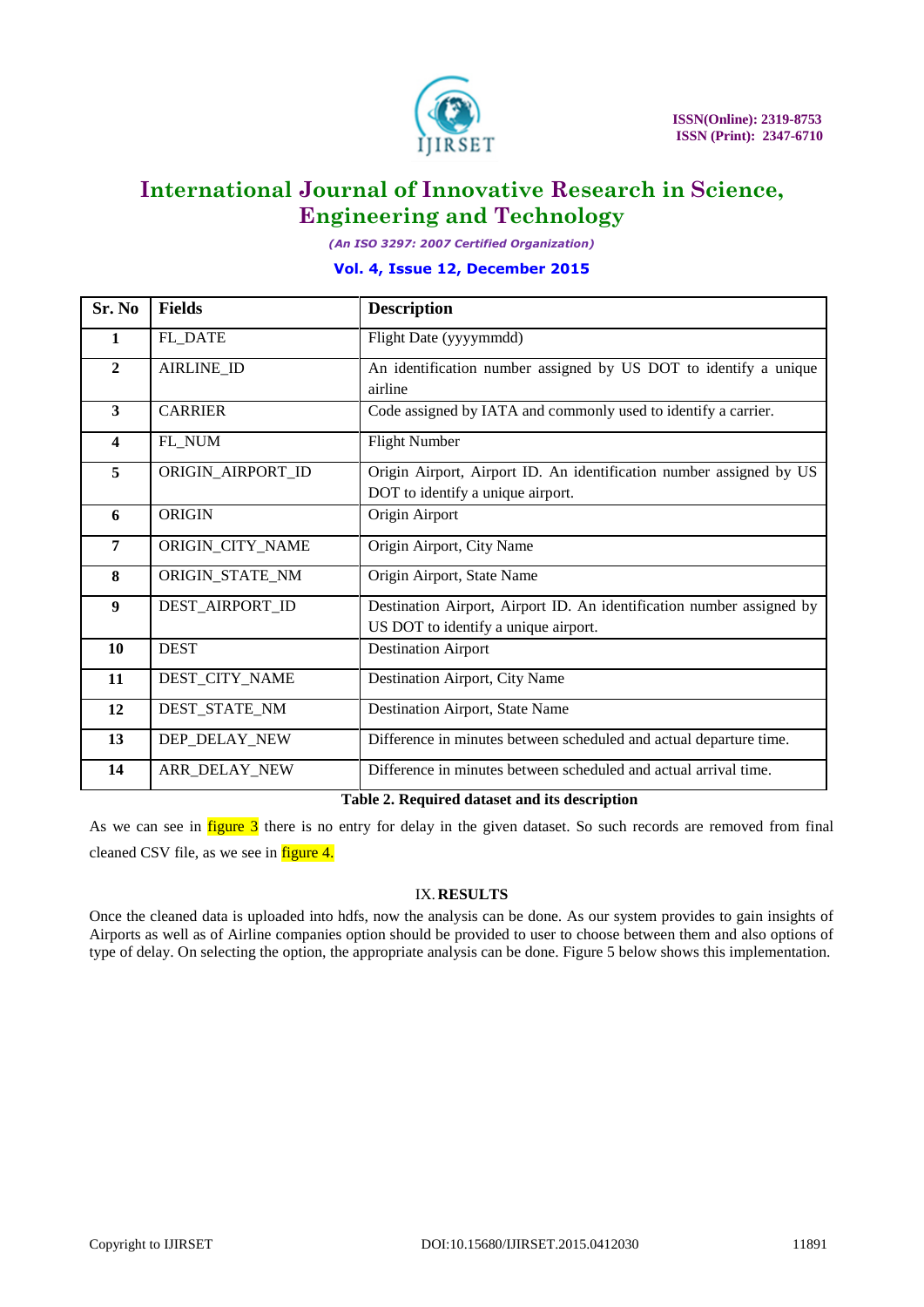

*(An ISO 3297: 2007 Certified Organization)*

### **Vol. 4, Issue 12, December 2015**

| Sr. No                  | <b>Fields</b>        | <b>Description</b>                                                                                            |
|-------------------------|----------------------|---------------------------------------------------------------------------------------------------------------|
| 1                       | <b>FL_DATE</b>       | Flight Date (yyyymmdd)                                                                                        |
| $\overline{2}$          | AIRLINE_ID           | An identification number assigned by US DOT to identify a unique<br>airline                                   |
| $\overline{\mathbf{3}}$ | <b>CARRIER</b>       | Code assigned by IATA and commonly used to identify a carrier.                                                |
| 4                       | FL_NUM               | <b>Flight Number</b>                                                                                          |
| 5                       | ORIGIN_AIRPORT_ID    | Origin Airport, Airport ID. An identification number assigned by US<br>DOT to identify a unique airport.      |
| 6                       | <b>ORIGIN</b>        | Origin Airport                                                                                                |
| 7                       | ORIGIN_CITY_NAME     | Origin Airport, City Name                                                                                     |
| 8                       | ORIGIN_STATE_NM      | Origin Airport, State Name                                                                                    |
| $\boldsymbol{9}$        | DEST_AIRPORT_ID      | Destination Airport, Airport ID. An identification number assigned by<br>US DOT to identify a unique airport. |
| 10                      | <b>DEST</b>          | <b>Destination Airport</b>                                                                                    |
| 11                      | DEST_CITY_NAME       | Destination Airport, City Name                                                                                |
| 12                      | DEST_STATE_NM        | Destination Airport, State Name                                                                               |
| 13                      | DEP_DELAY_NEW        | Difference in minutes between scheduled and actual departure time.                                            |
| 14                      | <b>ARR_DELAY_NEW</b> | Difference in minutes between scheduled and actual arrival time.                                              |

### **Table 2. Required dataset and its description**

As we can see in  $figure 3$  there is no entry for delay in the given dataset. So such records are removed from final cleaned CSV file, as we see in figure 4.

### IX.**RESULTS**

Once the cleaned data is uploaded into hdfs, now the analysis can be done. As our system provides to gain insights of Airports as well as of Airline companies option should be provided to user to choose between them and also options of type of delay. On selecting the option, the appropriate analysis can be done. Figure 5 below shows this implementation.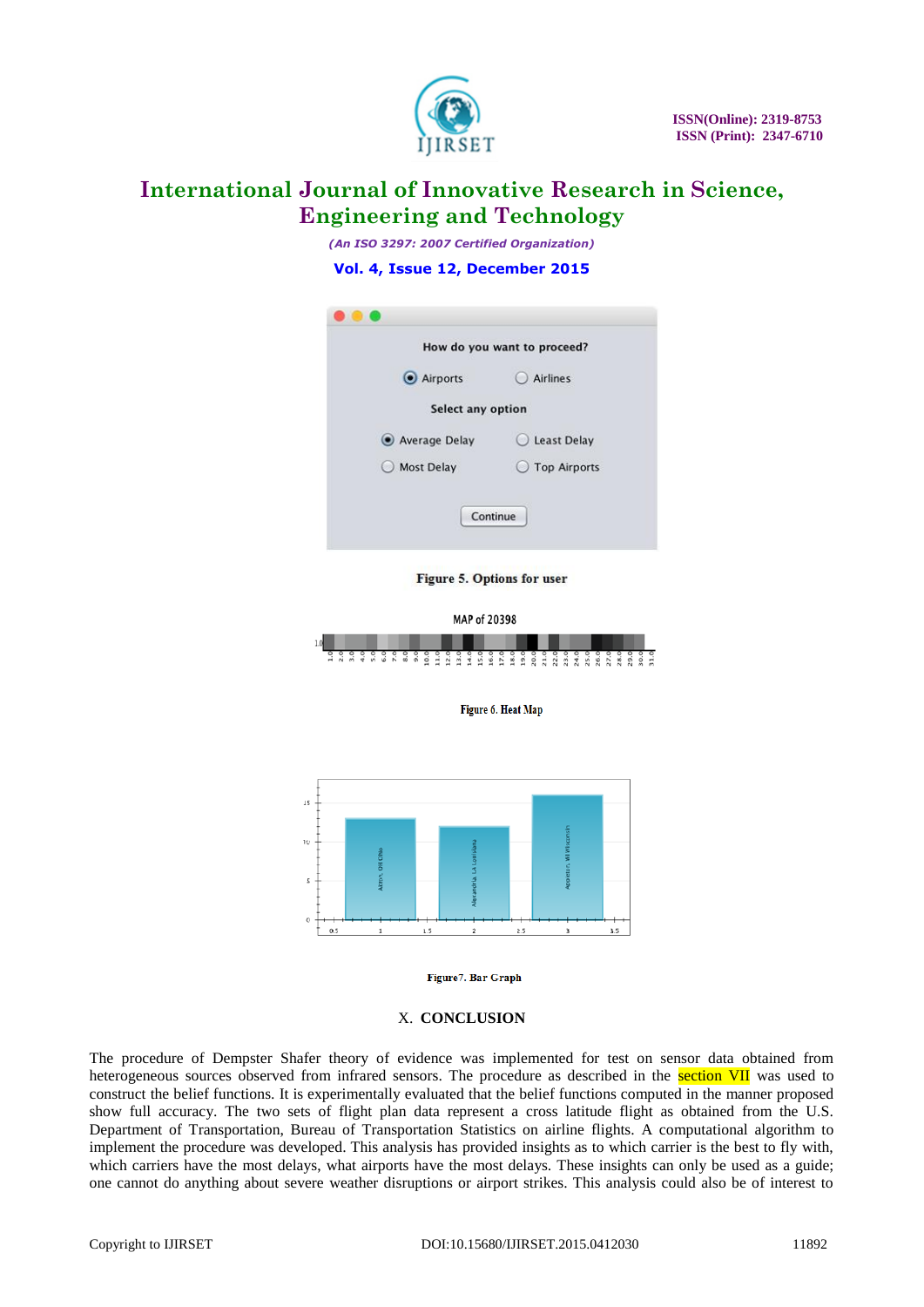

*(An ISO 3297: 2007 Certified Organization)*

### **Vol. 4, Issue 12, December 2015**

|                                             | How do you want to proceed? |
|---------------------------------------------|-----------------------------|
| Airports                                    | <b>Airlines</b>             |
| Select any option                           |                             |
| Average Delay                               | Least Delay                 |
| <b>Most Delay</b><br>$\left( \quad \right)$ | ◯ Top Airports              |

Figure 5. Options for user



Figure 6. Heat Map



#### Figure7. Bar Graph

### X. **CONCLUSION**

The procedure of Dempster Shafer theory of evidence was implemented for test on sensor data obtained from heterogeneous sources observed from infrared sensors. The procedure as described in the section VII was used to construct the belief functions. It is experimentally evaluated that the belief functions computed in the manner proposed show full accuracy. The two sets of flight plan data represent a cross latitude flight as obtained from the U.S. Department of Transportation, Bureau of Transportation Statistics on airline flights. A computational algorithm to implement the procedure was developed. This analysis has provided insights as to which carrier is the best to fly with, which carriers have the most delays, what airports have the most delays. These insights can only be used as a guide; one cannot do anything about severe weather disruptions or airport strikes. This analysis could also be of interest to